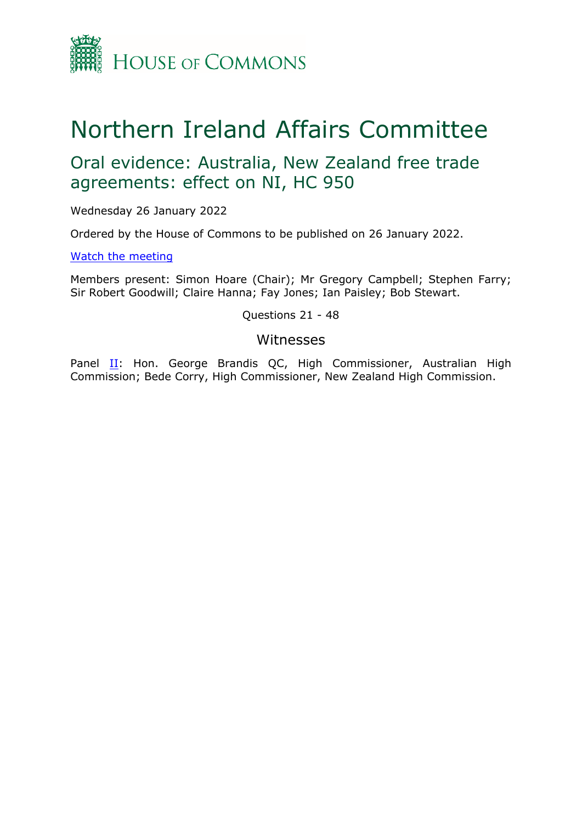

## Northern Ireland Affairs Committee

## Oral evidence: Australia, New Zealand free trade agreements: effect on NI, HC 950

Wednesday 26 January 2022

Ordered by the House of Commons to be published on 26 January 2022.

[Watch](https://www.parliamentlive.tv/Event/Index/2e2d97de-f3cf-44a1-ab91-ac80db763019) [the](https://www.parliamentlive.tv/Event/Index/2e2d97de-f3cf-44a1-ab91-ac80db763019) [meeting](https://www.parliamentlive.tv/Event/Index/2e2d97de-f3cf-44a1-ab91-ac80db763019)

Members present: Simon Hoare (Chair); Mr Gregory Campbell; Stephen Farry; Sir Robert Goodwill; Claire Hanna; Fay Jones; Ian Paisley; Bob Stewart.

Questions 21 - 48

## Witnesses

Panel [II](#page-1-0): Hon. George Brandis QC, High Commissioner, Australian High Commission; Bede Corry, High Commissioner, New Zealand High Commission.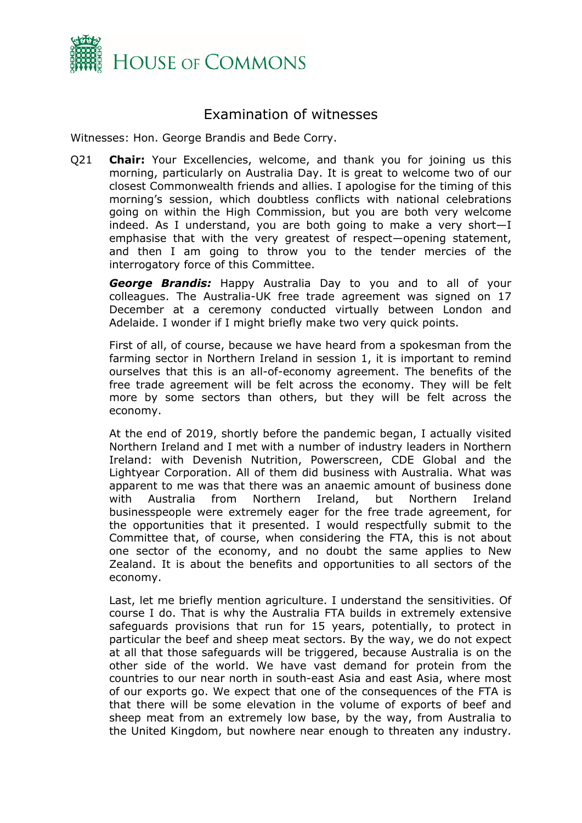

## <span id="page-1-0"></span>Examination of witnesses

Witnesses: Hon. George Brandis and Bede Corry.

Q21 **Chair:** Your Excellencies, welcome, and thank you for joining us this morning, particularly on Australia Day. It is great to welcome two of our closest Commonwealth friends and allies. I apologise for the timing of this morning's session, which doubtless conflicts with national celebrations going on within the High Commission, but you are both very welcome indeed. As I understand, you are both going to make a very short—I emphasise that with the very greatest of respect—opening statement, and then I am going to throw you to the tender mercies of the interrogatory force of this Committee.

*George Brandis:* Happy Australia Day to you and to all of your colleagues. The Australia-UK free trade agreement was signed on 17 December at a ceremony conducted virtually between London and Adelaide. I wonder if I might briefly make two very quick points.

First of all, of course, because we have heard from a spokesman from the farming sector in Northern Ireland in session 1, it is important to remind ourselves that this is an all-of-economy agreement. The benefits of the free trade agreement will be felt across the economy. They will be felt more by some sectors than others, but they will be felt across the economy.

At the end of 2019, shortly before the pandemic began, I actually visited Northern Ireland and I met with a number of industry leaders in Northern Ireland: with Devenish Nutrition, Powerscreen, CDE Global and the Lightyear Corporation. All of them did business with Australia. What was apparent to me was that there was an anaemic amount of business done with Australia from Northern Ireland, but Northern Ireland businesspeople were extremely eager for the free trade agreement, for the opportunities that it presented. I would respectfully submit to the Committee that, of course, when considering the FTA, this is not about one sector of the economy, and no doubt the same applies to New Zealand. It is about the benefits and opportunities to all sectors of the economy.

Last, let me briefly mention agriculture. I understand the sensitivities. Of course I do. That is why the Australia FTA builds in extremely extensive safeguards provisions that run for 15 years, potentially, to protect in particular the beef and sheep meat sectors. By the way, we do not expect at all that those safeguards will be triggered, because Australia is on the other side of the world. We have vast demand for protein from the countries to our near north in south-east Asia and east Asia, where most of our exports go. We expect that one of the consequences of the FTA is that there will be some elevation in the volume of exports of beef and sheep meat from an extremely low base, by the way, from Australia to the United Kingdom, but nowhere near enough to threaten any industry.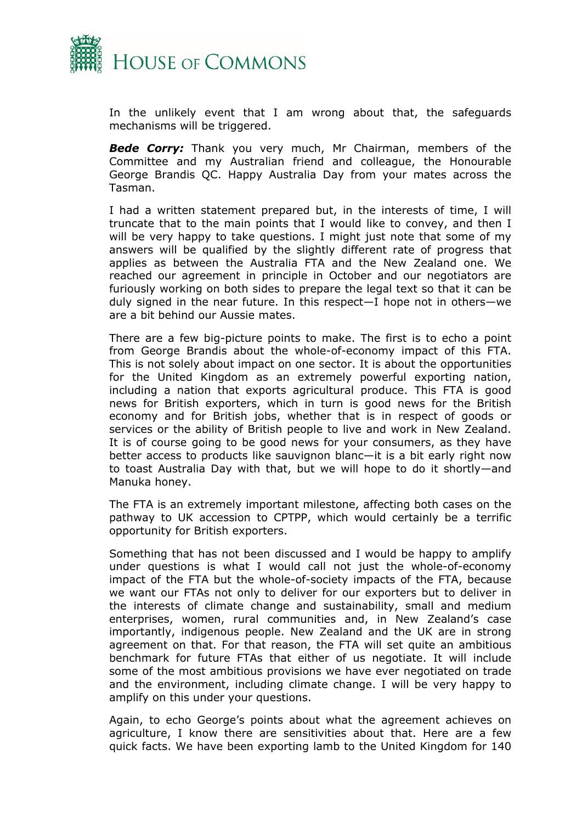

In the unlikely event that I am wrong about that, the safeguards mechanisms will be triggered.

*Bede Corry:* Thank you very much, Mr Chairman, members of the Committee and my Australian friend and colleague, the Honourable George Brandis QC. Happy Australia Day from your mates across the Tasman.

I had a written statement prepared but, in the interests of time, I will truncate that to the main points that I would like to convey, and then I will be very happy to take questions. I might just note that some of my answers will be qualified by the slightly different rate of progress that applies as between the Australia FTA and the New Zealand one. We reached our agreement in principle in October and our negotiators are furiously working on both sides to prepare the legal text so that it can be duly signed in the near future. In this respect—I hope not in others—we are a bit behind our Aussie mates.

There are a few big-picture points to make. The first is to echo a point from George Brandis about the whole-of-economy impact of this FTA. This is not solely about impact on one sector. It is about the opportunities for the United Kingdom as an extremely powerful exporting nation, including a nation that exports agricultural produce. This FTA is good news for British exporters, which in turn is good news for the British economy and for British jobs, whether that is in respect of goods or services or the ability of British people to live and work in New Zealand. It is of course going to be good news for your consumers, as they have better access to products like sauvignon blanc—it is a bit early right now to toast Australia Day with that, but we will hope to do it shortly—and Manuka honey.

The FTA is an extremely important milestone, affecting both cases on the pathway to UK accession to CPTPP, which would certainly be a terrific opportunity for British exporters.

Something that has not been discussed and I would be happy to amplify under questions is what I would call not just the whole-of-economy impact of the FTA but the whole-of-society impacts of the FTA, because we want our FTAs not only to deliver for our exporters but to deliver in the interests of climate change and sustainability, small and medium enterprises, women, rural communities and, in New Zealand's case importantly, indigenous people. New Zealand and the UK are in strong agreement on that. For that reason, the FTA will set quite an ambitious benchmark for future FTAs that either of us negotiate. It will include some of the most ambitious provisions we have ever negotiated on trade and the environment, including climate change. I will be very happy to amplify on this under your questions.

Again, to echo George's points about what the agreement achieves on agriculture, I know there are sensitivities about that. Here are a few quick facts. We have been exporting lamb to the United Kingdom for 140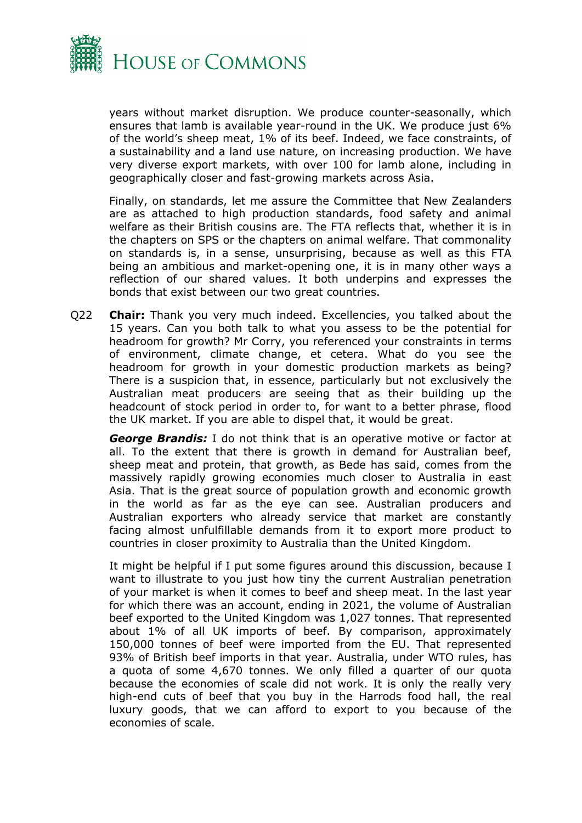

years without market disruption. We produce counter-seasonally, which ensures that lamb is available year-round in the UK. We produce just 6% of the world's sheep meat, 1% of its beef. Indeed, we face constraints, of a sustainability and a land use nature, on increasing production. We have very diverse export markets, with over 100 for lamb alone, including in geographically closer and fast-growing markets across Asia.

Finally, on standards, let me assure the Committee that New Zealanders are as attached to high production standards, food safety and animal welfare as their British cousins are. The FTA reflects that, whether it is in the chapters on SPS or the chapters on animal welfare. That commonality on standards is, in a sense, unsurprising, because as well as this FTA being an ambitious and market-opening one, it is in many other ways a reflection of our shared values. It both underpins and expresses the bonds that exist between our two great countries.

Q22 **Chair:** Thank you very much indeed. Excellencies, you talked about the 15 years. Can you both talk to what you assess to be the potential for headroom for growth? Mr Corry, you referenced your constraints in terms of environment, climate change, et cetera. What do you see the headroom for growth in your domestic production markets as being? There is a suspicion that, in essence, particularly but not exclusively the Australian meat producers are seeing that as their building up the headcount of stock period in order to, for want to a better phrase, flood the UK market. If you are able to dispel that, it would be great.

*George Brandis:* I do not think that is an operative motive or factor at all. To the extent that there is growth in demand for Australian beef, sheep meat and protein, that growth, as Bede has said, comes from the massively rapidly growing economies much closer to Australia in east Asia. That is the great source of population growth and economic growth in the world as far as the eye can see. Australian producers and Australian exporters who already service that market are constantly facing almost unfulfillable demands from it to export more product to countries in closer proximity to Australia than the United Kingdom.

It might be helpful if I put some figures around this discussion, because I want to illustrate to you just how tiny the current Australian penetration of your market is when it comes to beef and sheep meat. In the last year for which there was an account, ending in 2021, the volume of Australian beef exported to the United Kingdom was 1,027 tonnes. That represented about 1% of all UK imports of beef. By comparison, approximately 150,000 tonnes of beef were imported from the EU. That represented 93% of British beef imports in that year. Australia, under WTO rules, has a quota of some 4,670 tonnes. We only filled a quarter of our quota because the economies of scale did not work. It is only the really very high-end cuts of beef that you buy in the Harrods food hall, the real luxury goods, that we can afford to export to you because of the economies of scale.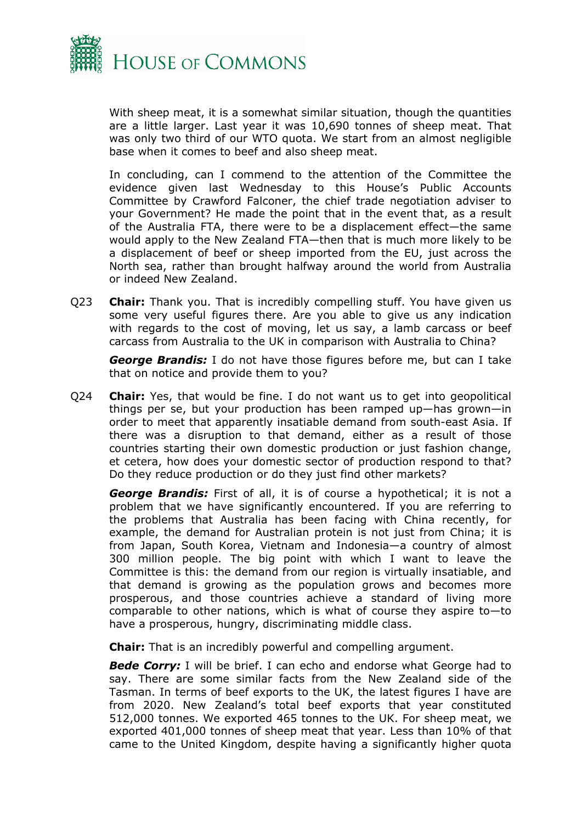

With sheep meat, it is a somewhat similar situation, though the quantities are a little larger. Last year it was 10,690 tonnes of sheep meat. That was only two third of our WTO quota. We start from an almost negligible base when it comes to beef and also sheep meat.

In concluding, can I commend to the attention of the Committee the evidence given last Wednesday to this House's Public Accounts Committee by Crawford Falconer, the chief trade negotiation adviser to your Government? He made the point that in the event that, as a result of the Australia FTA, there were to be a displacement effect—the same would apply to the New Zealand FTA—then that is much more likely to be a displacement of beef or sheep imported from the EU, just across the North sea, rather than brought halfway around the world from Australia or indeed New Zealand.

Q23 **Chair:** Thank you. That is incredibly compelling stuff. You have given us some very useful figures there. Are you able to give us any indication with regards to the cost of moving, let us say, a lamb carcass or beef carcass from Australia to the UK in comparison with Australia to China?

*George Brandis:* I do not have those figures before me, but can I take that on notice and provide them to you?

Q24 **Chair:** Yes, that would be fine. I do not want us to get into geopolitical things per se, but your production has been ramped up—has grown—in order to meet that apparently insatiable demand from south-east Asia. If there was a disruption to that demand, either as a result of those countries starting their own domestic production or just fashion change, et cetera, how does your domestic sector of production respond to that? Do they reduce production or do they just find other markets?

*George Brandis:* First of all, it is of course a hypothetical; it is not a problem that we have significantly encountered. If you are referring to the problems that Australia has been facing with China recently, for example, the demand for Australian protein is not just from China; it is from Japan, South Korea, Vietnam and Indonesia—a country of almost 300 million people. The big point with which I want to leave the Committee is this: the demand from our region is virtually insatiable, and that demand is growing as the population grows and becomes more prosperous, and those countries achieve a standard of living more comparable to other nations, which is what of course they aspire to—to have a prosperous, hungry, discriminating middle class.

**Chair:** That is an incredibly powerful and compelling argument.

*Bede Corry:* I will be brief. I can echo and endorse what George had to say. There are some similar facts from the New Zealand side of the Tasman. In terms of beef exports to the UK, the latest figures I have are from 2020. New Zealand's total beef exports that year constituted 512,000 tonnes. We exported 465 tonnes to the UK. For sheep meat, we exported 401,000 tonnes of sheep meat that year. Less than 10% of that came to the United Kingdom, despite having a significantly higher quota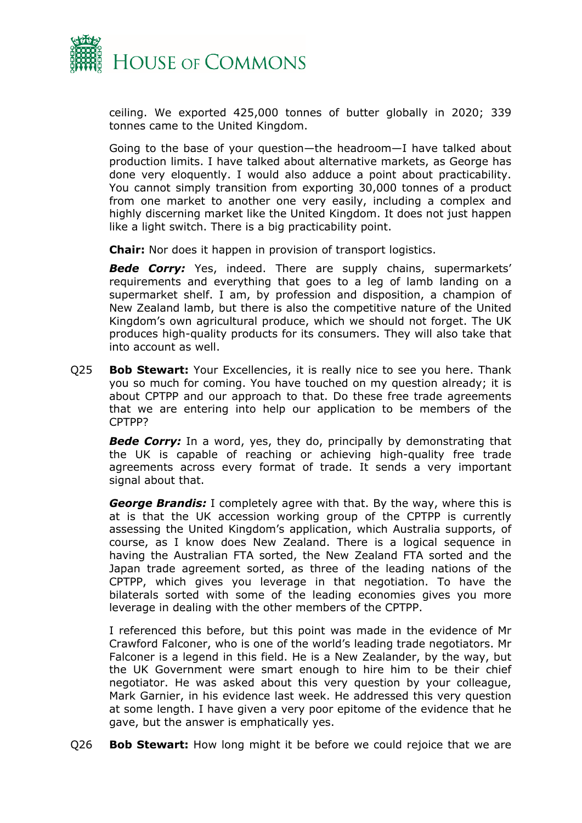

ceiling. We exported 425,000 tonnes of butter globally in 2020; 339 tonnes came to the United Kingdom.

Going to the base of your question—the headroom—I have talked about production limits. I have talked about alternative markets, as George has done very eloquently. I would also adduce a point about practicability. You cannot simply transition from exporting 30,000 tonnes of a product from one market to another one very easily, including a complex and highly discerning market like the United Kingdom. It does not just happen like a light switch. There is a big practicability point.

**Chair:** Nor does it happen in provision of transport logistics.

*Bede Corry:* Yes, indeed. There are supply chains, supermarkets' requirements and everything that goes to a leg of lamb landing on a supermarket shelf. I am, by profession and disposition, a champion of New Zealand lamb, but there is also the competitive nature of the United Kingdom's own agricultural produce, which we should not forget. The UK produces high-quality products for its consumers. They will also take that into account as well.

Q25 **Bob Stewart:** Your Excellencies, it is really nice to see you here. Thank you so much for coming. You have touched on my question already; it is about CPTPP and our approach to that. Do these free trade agreements that we are entering into help our application to be members of the CPTPP?

*Bede Corry:* In a word, yes, they do, principally by demonstrating that the UK is capable of reaching or achieving high-quality free trade agreements across every format of trade. It sends a very important signal about that.

*George Brandis:* I completely agree with that. By the way, where this is at is that the UK accession working group of the CPTPP is currently assessing the United Kingdom's application, which Australia supports, of course, as I know does New Zealand. There is a logical sequence in having the Australian FTA sorted, the New Zealand FTA sorted and the Japan trade agreement sorted, as three of the leading nations of the CPTPP, which gives you leverage in that negotiation. To have the bilaterals sorted with some of the leading economies gives you more leverage in dealing with the other members of the CPTPP.

I referenced this before, but this point was made in the evidence of Mr Crawford Falconer, who is one of the world's leading trade negotiators. Mr Falconer is a legend in this field. He is a New Zealander, by the way, but the UK Government were smart enough to hire him to be their chief negotiator. He was asked about this very question by your colleague, Mark Garnier, in his evidence last week. He addressed this very question at some length. I have given a very poor epitome of the evidence that he gave, but the answer is emphatically yes.

Q26 **Bob Stewart:** How long might it be before we could rejoice that we are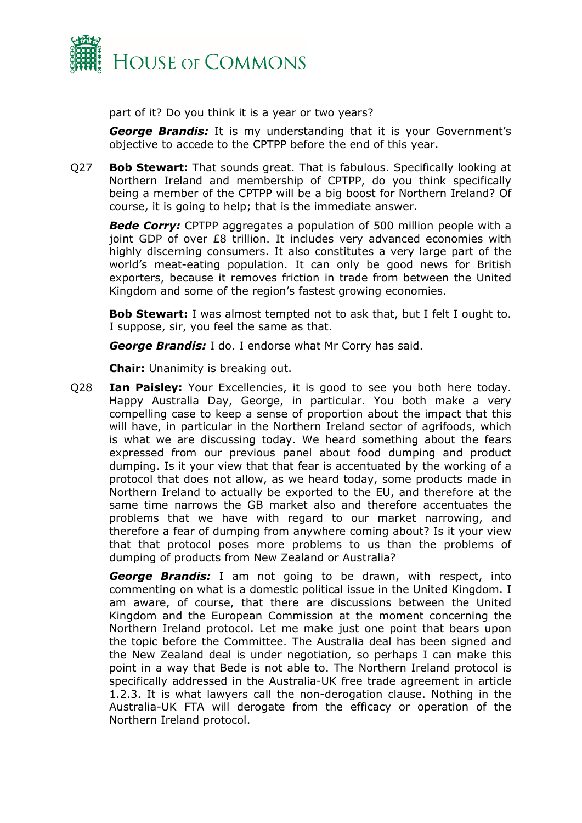

part of it? Do you think it is a year or two years?

*George Brandis:* It is my understanding that it is your Government's objective to accede to the CPTPP before the end of this year.

Q27 **Bob Stewart:** That sounds great. That is fabulous. Specifically looking at Northern Ireland and membership of CPTPP, do you think specifically being a member of the CPTPP will be a big boost for Northern Ireland? Of course, it is going to help; that is the immediate answer.

*Bede Corry:* CPTPP aggregates a population of 500 million people with a joint GDP of over £8 trillion. It includes very advanced economies with highly discerning consumers. It also constitutes a very large part of the world's meat-eating population. It can only be good news for British exporters, because it removes friction in trade from between the United Kingdom and some of the region's fastest growing economies.

**Bob Stewart:** I was almost tempted not to ask that, but I felt I ought to. I suppose, sir, you feel the same as that.

*George Brandis:* I do. I endorse what Mr Corry has said.

**Chair:** Unanimity is breaking out.

Q28 **Ian Paisley:** Your Excellencies, it is good to see you both here today. Happy Australia Day, George, in particular. You both make a very compelling case to keep a sense of proportion about the impact that this will have, in particular in the Northern Ireland sector of agrifoods, which is what we are discussing today. We heard something about the fears expressed from our previous panel about food dumping and product dumping. Is it your view that that fear is accentuated by the working of a protocol that does not allow, as we heard today, some products made in Northern Ireland to actually be exported to the EU, and therefore at the same time narrows the GB market also and therefore accentuates the problems that we have with regard to our market narrowing, and therefore a fear of dumping from anywhere coming about? Is it your view that that protocol poses more problems to us than the problems of dumping of products from New Zealand or Australia?

*George Brandis:* I am not going to be drawn, with respect, into commenting on what is a domestic political issue in the United Kingdom. I am aware, of course, that there are discussions between the United Kingdom and the European Commission at the moment concerning the Northern Ireland protocol. Let me make just one point that bears upon the topic before the Committee. The Australia deal has been signed and the New Zealand deal is under negotiation, so perhaps I can make this point in a way that Bede is not able to. The Northern Ireland protocol is specifically addressed in the Australia-UK free trade agreement in article 1.2.3. It is what lawyers call the non-derogation clause. Nothing in the Australia-UK FTA will derogate from the efficacy or operation of the Northern Ireland protocol.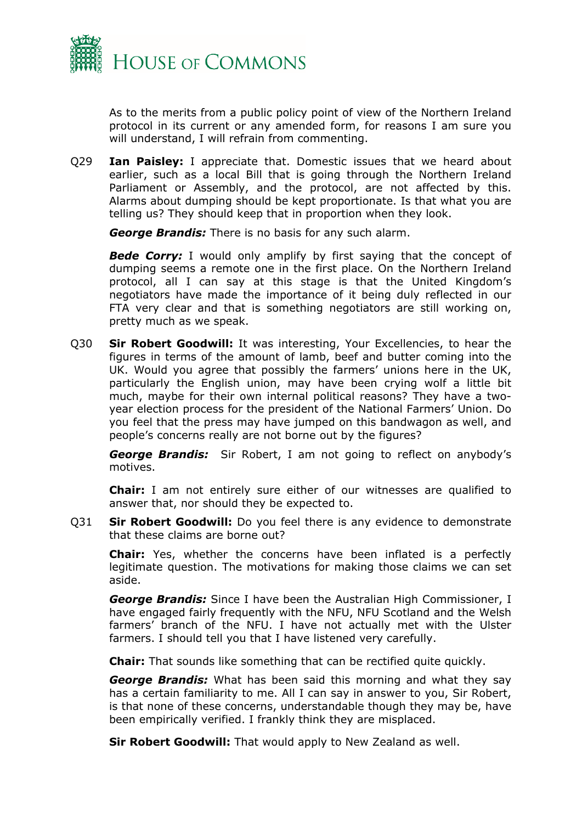

As to the merits from a public policy point of view of the Northern Ireland protocol in its current or any amended form, for reasons I am sure you will understand, I will refrain from commenting.

Q29 **Ian Paisley:** I appreciate that. Domestic issues that we heard about earlier, such as a local Bill that is going through the Northern Ireland Parliament or Assembly, and the protocol, are not affected by this. Alarms about dumping should be kept proportionate. Is that what you are telling us? They should keep that in proportion when they look.

*George Brandis:* There is no basis for any such alarm.

**Bede Corry:** I would only amplify by first saying that the concept of dumping seems a remote one in the first place. On the Northern Ireland protocol, all I can say at this stage is that the United Kingdom's negotiators have made the importance of it being duly reflected in our FTA very clear and that is something negotiators are still working on, pretty much as we speak.

Q30 **Sir Robert Goodwill:** It was interesting, Your Excellencies, to hear the figures in terms of the amount of lamb, beef and butter coming into the UK. Would you agree that possibly the farmers' unions here in the UK, particularly the English union, may have been crying wolf a little bit much, maybe for their own internal political reasons? They have a twoyear election process for the president of the National Farmers' Union. Do you feel that the press may have jumped on this bandwagon as well, and people's concerns really are not borne out by the figures?

*George Brandis:* Sir Robert, I am not going to reflect on anybody's motives.

**Chair:** I am not entirely sure either of our witnesses are qualified to answer that, nor should they be expected to.

Q31 **Sir Robert Goodwill:** Do you feel there is any evidence to demonstrate that these claims are borne out?

**Chair:** Yes, whether the concerns have been inflated is a perfectly legitimate question. The motivations for making those claims we can set aside.

*George Brandis:* Since I have been the Australian High Commissioner, I have engaged fairly frequently with the NFU, NFU Scotland and the Welsh farmers' branch of the NFU. I have not actually met with the Ulster farmers. I should tell you that I have listened very carefully.

**Chair:** That sounds like something that can be rectified quite quickly.

*George Brandis:* What has been said this morning and what they say has a certain familiarity to me. All I can say in answer to you, Sir Robert, is that none of these concerns, understandable though they may be, have been empirically verified. I frankly think they are misplaced.

**Sir Robert Goodwill:** That would apply to New Zealand as well.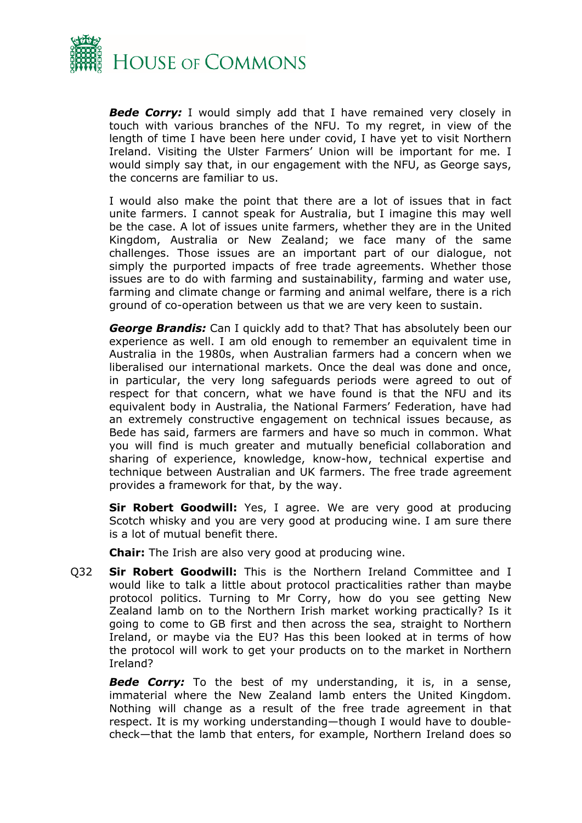

*Bede Corry:* I would simply add that I have remained very closely in touch with various branches of the NFU. To my regret, in view of the length of time I have been here under covid, I have yet to visit Northern Ireland. Visiting the Ulster Farmers' Union will be important for me. I would simply say that, in our engagement with the NFU, as George says, the concerns are familiar to us.

I would also make the point that there are a lot of issues that in fact unite farmers. I cannot speak for Australia, but I imagine this may well be the case. A lot of issues unite farmers, whether they are in the United Kingdom, Australia or New Zealand; we face many of the same challenges. Those issues are an important part of our dialogue, not simply the purported impacts of free trade agreements. Whether those issues are to do with farming and sustainability, farming and water use, farming and climate change or farming and animal welfare, there is a rich ground of co-operation between us that we are very keen to sustain.

*George Brandis:* Can I quickly add to that? That has absolutely been our experience as well. I am old enough to remember an equivalent time in Australia in the 1980s, when Australian farmers had a concern when we liberalised our international markets. Once the deal was done and once, in particular, the very long safeguards periods were agreed to out of respect for that concern, what we have found is that the NFU and its equivalent body in Australia, the National Farmers' Federation, have had an extremely constructive engagement on technical issues because, as Bede has said, farmers are farmers and have so much in common. What you will find is much greater and mutually beneficial collaboration and sharing of experience, knowledge, know-how, technical expertise and technique between Australian and UK farmers. The free trade agreement provides a framework for that, by the way.

**Sir Robert Goodwill:** Yes, I agree. We are very good at producing Scotch whisky and you are very good at producing wine. I am sure there is a lot of mutual benefit there.

**Chair:** The Irish are also very good at producing wine.

Q32 **Sir Robert Goodwill:** This is the Northern Ireland Committee and I would like to talk a little about protocol practicalities rather than maybe protocol politics. Turning to Mr Corry, how do you see getting New Zealand lamb on to the Northern Irish market working practically? Is it going to come to GB first and then across the sea, straight to Northern Ireland, or maybe via the EU? Has this been looked at in terms of how the protocol will work to get your products on to the market in Northern Ireland?

*Bede Corry:* To the best of my understanding, it is, in a sense, immaterial where the New Zealand lamb enters the United Kingdom. Nothing will change as a result of the free trade agreement in that respect. It is my working understanding—though I would have to doublecheck—that the lamb that enters, for example, Northern Ireland does so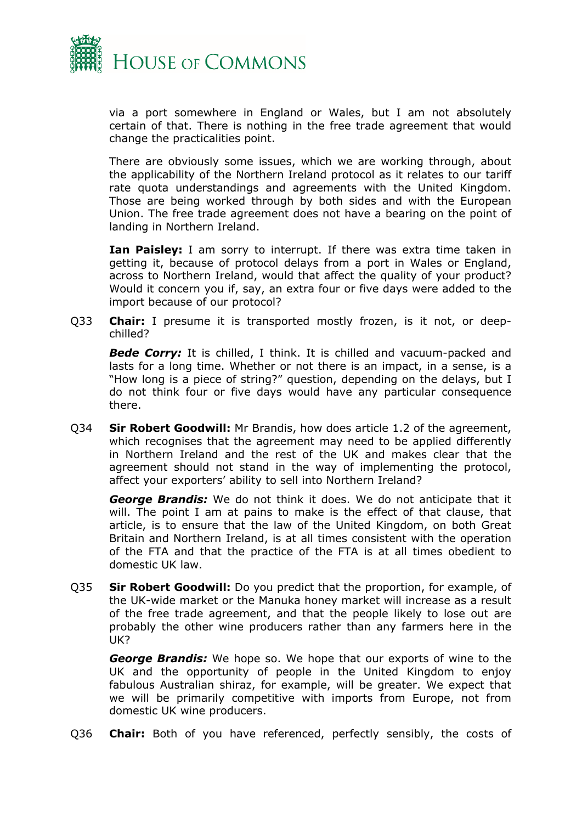

via a port somewhere in England or Wales, but I am not absolutely certain of that. There is nothing in the free trade agreement that would change the practicalities point.

There are obviously some issues, which we are working through, about the applicability of the Northern Ireland protocol as it relates to our tariff rate quota understandings and agreements with the United Kingdom. Those are being worked through by both sides and with the European Union. The free trade agreement does not have a bearing on the point of landing in Northern Ireland.

**Ian Paisley:** I am sorry to interrupt. If there was extra time taken in getting it, because of protocol delays from a port in Wales or England, across to Northern Ireland, would that affect the quality of your product? Would it concern you if, say, an extra four or five days were added to the import because of our protocol?

Q33 **Chair:** I presume it is transported mostly frozen, is it not, or deepchilled?

*Bede Corry:* It is chilled, I think. It is chilled and vacuum-packed and lasts for a long time. Whether or not there is an impact, in a sense, is a "How long is a piece of string?" question, depending on the delays, but I do not think four or five days would have any particular consequence there.

Q34 **Sir Robert Goodwill:** Mr Brandis, how does article 1.2 of the agreement, which recognises that the agreement may need to be applied differently in Northern Ireland and the rest of the UK and makes clear that the agreement should not stand in the way of implementing the protocol, affect your exporters' ability to sell into Northern Ireland?

*George Brandis:* We do not think it does. We do not anticipate that it will. The point I am at pains to make is the effect of that clause, that article, is to ensure that the law of the United Kingdom, on both Great Britain and Northern Ireland, is at all times consistent with the operation of the FTA and that the practice of the FTA is at all times obedient to domestic UK law.

Q35 **Sir Robert Goodwill:** Do you predict that the proportion, for example, of the UK-wide market or the Manuka honey market will increase as a result of the free trade agreement, and that the people likely to lose out are probably the other wine producers rather than any farmers here in the UK?

*George Brandis:* We hope so. We hope that our exports of wine to the UK and the opportunity of people in the United Kingdom to enjoy fabulous Australian shiraz, for example, will be greater. We expect that we will be primarily competitive with imports from Europe, not from domestic UK wine producers.

Q36 **Chair:** Both of you have referenced, perfectly sensibly, the costs of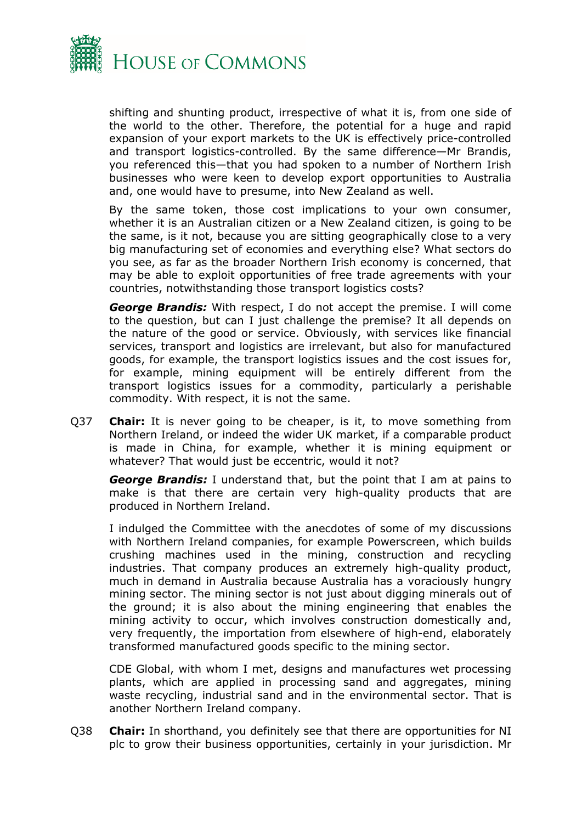

shifting and shunting product, irrespective of what it is, from one side of the world to the other. Therefore, the potential for a huge and rapid expansion of your export markets to the UK is effectively price-controlled and transport logistics-controlled. By the same difference—Mr Brandis, you referenced this—that you had spoken to a number of Northern Irish businesses who were keen to develop export opportunities to Australia and, one would have to presume, into New Zealand as well.

By the same token, those cost implications to your own consumer, whether it is an Australian citizen or a New Zealand citizen, is going to be the same, is it not, because you are sitting geographically close to a very big manufacturing set of economies and everything else? What sectors do you see, as far as the broader Northern Irish economy is concerned, that may be able to exploit opportunities of free trade agreements with your countries, notwithstanding those transport logistics costs?

*George Brandis:* With respect, I do not accept the premise. I will come to the question, but can I just challenge the premise? It all depends on the nature of the good or service. Obviously, with services like financial services, transport and logistics are irrelevant, but also for manufactured goods, for example, the transport logistics issues and the cost issues for, for example, mining equipment will be entirely different from the transport logistics issues for a commodity, particularly a perishable commodity. With respect, it is not the same.

Q37 **Chair:** It is never going to be cheaper, is it, to move something from Northern Ireland, or indeed the wider UK market, if a comparable product is made in China, for example, whether it is mining equipment or whatever? That would just be eccentric, would it not?

*George Brandis:* I understand that, but the point that I am at pains to make is that there are certain very high-quality products that are produced in Northern Ireland.

I indulged the Committee with the anecdotes of some of my discussions with Northern Ireland companies, for example Powerscreen, which builds crushing machines used in the mining, construction and recycling industries. That company produces an extremely high-quality product, much in demand in Australia because Australia has a voraciously hungry mining sector. The mining sector is not just about digging minerals out of the ground; it is also about the mining engineering that enables the mining activity to occur, which involves construction domestically and, very frequently, the importation from elsewhere of high-end, elaborately transformed manufactured goods specific to the mining sector.

CDE Global, with whom I met, designs and manufactures wet processing plants, which are applied in processing sand and aggregates, mining waste recycling, industrial sand and in the environmental sector. That is another Northern Ireland company.

Q38 **Chair:** In shorthand, you definitely see that there are opportunities for NI plc to grow their business opportunities, certainly in your jurisdiction. Mr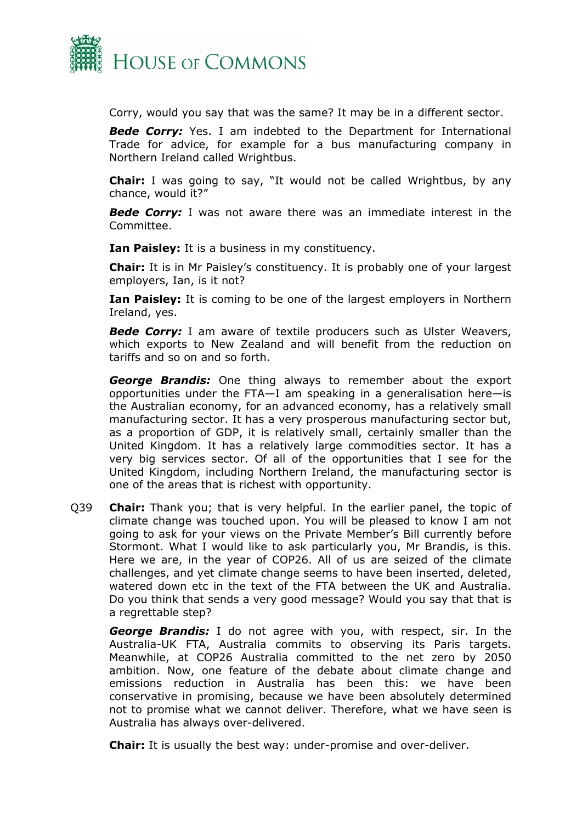

Corry, would you say that was the same? It may be in a different sector.

*Bede Corry:* Yes. I am indebted to the Department for International Trade for advice, for example for a bus manufacturing company in Northern Ireland called Wrightbus.

**Chair:** I was going to say, "It would not be called Wrightbus, by any chance, would it?"

*Bede Corry:* I was not aware there was an immediate interest in the Committee.

**Ian Paisley:** It is a business in my constituency.

**Chair:** It is in Mr Paisley's constituency. It is probably one of your largest employers, Ian, is it not?

**Ian Paisley:** It is coming to be one of the largest employers in Northern Ireland, yes.

*Bede Corry:* I am aware of textile producers such as Ulster Weavers, which exports to New Zealand and will benefit from the reduction on tariffs and so on and so forth.

*George Brandis:* One thing always to remember about the export opportunities under the FTA—I am speaking in a generalisation here—is the Australian economy, for an advanced economy, has a relatively small manufacturing sector. It has a very prosperous manufacturing sector but, as a proportion of GDP, it is relatively small, certainly smaller than the United Kingdom. It has a relatively large commodities sector. It has a very big services sector. Of all of the opportunities that I see for the United Kingdom, including Northern Ireland, the manufacturing sector is one of the areas that is richest with opportunity.

Q39 **Chair:** Thank you; that is very helpful. In the earlier panel, the topic of climate change was touched upon. You will be pleased to know I am not going to ask for your views on the Private Member's Bill currently before Stormont. What I would like to ask particularly you, Mr Brandis, is this. Here we are, in the year of COP26. All of us are seized of the climate challenges, and yet climate change seems to have been inserted, deleted, watered down etc in the text of the FTA between the UK and Australia. Do you think that sends a very good message? Would you say that that is a regrettable step?

*George Brandis:* I do not agree with you, with respect, sir. In the Australia-UK FTA, Australia commits to observing its Paris targets. Meanwhile, at COP26 Australia committed to the net zero by 2050 ambition. Now, one feature of the debate about climate change and emissions reduction in Australia has been this: we have been conservative in promising, because we have been absolutely determined not to promise what we cannot deliver. Therefore, what we have seen is Australia has always over-delivered.

**Chair:** It is usually the best way: under-promise and over-deliver.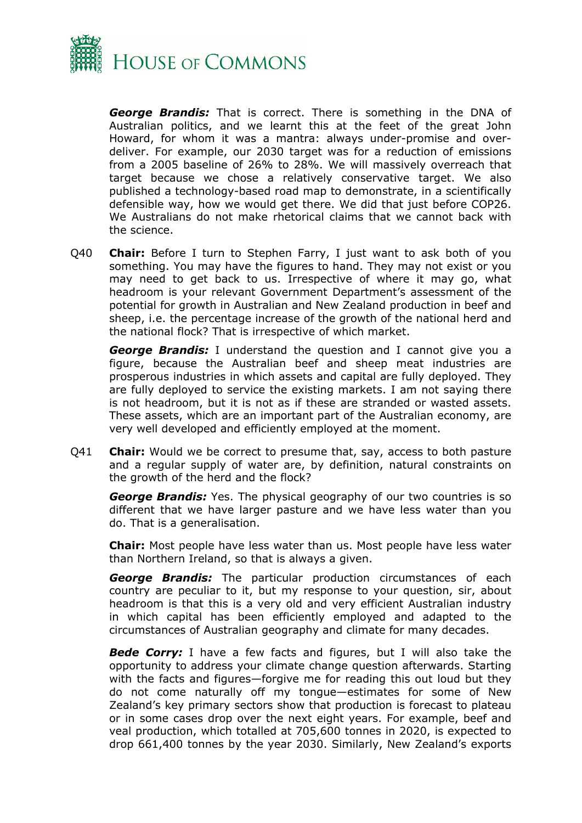

*George Brandis:* That is correct. There is something in the DNA of Australian politics, and we learnt this at the feet of the great John Howard, for whom it was a mantra: always under-promise and overdeliver. For example, our 2030 target was for a reduction of emissions from a 2005 baseline of 26% to 28%. We will massively overreach that target because we chose a relatively conservative target. We also published a technology-based road map to demonstrate, in a scientifically defensible way, how we would get there. We did that just before COP26. We Australians do not make rhetorical claims that we cannot back with the science.

Q40 **Chair:** Before I turn to Stephen Farry, I just want to ask both of you something. You may have the figures to hand. They may not exist or you may need to get back to us. Irrespective of where it may go, what headroom is your relevant Government Department's assessment of the potential for growth in Australian and New Zealand production in beef and sheep, i.e. the percentage increase of the growth of the national herd and the national flock? That is irrespective of which market.

*George Brandis:* I understand the question and I cannot give you a figure, because the Australian beef and sheep meat industries are prosperous industries in which assets and capital are fully deployed. They are fully deployed to service the existing markets. I am not saying there is not headroom, but it is not as if these are stranded or wasted assets. These assets, which are an important part of the Australian economy, are very well developed and efficiently employed at the moment.

Q41 **Chair:** Would we be correct to presume that, say, access to both pasture and a regular supply of water are, by definition, natural constraints on the growth of the herd and the flock?

*George Brandis:* Yes. The physical geography of our two countries is so different that we have larger pasture and we have less water than you do. That is a generalisation.

**Chair:** Most people have less water than us. Most people have less water than Northern Ireland, so that is always a given.

*George Brandis:* The particular production circumstances of each country are peculiar to it, but my response to your question, sir, about headroom is that this is a very old and very efficient Australian industry in which capital has been efficiently employed and adapted to the circumstances of Australian geography and climate for many decades.

*Bede Corry:* I have a few facts and figures, but I will also take the opportunity to address your climate change question afterwards. Starting with the facts and figures—forgive me for reading this out loud but they do not come naturally off my tongue—estimates for some of New Zealand's key primary sectors show that production is forecast to plateau or in some cases drop over the next eight years. For example, beef and veal production, which totalled at 705,600 tonnes in 2020, is expected to drop 661,400 tonnes by the year 2030. Similarly, New Zealand's exports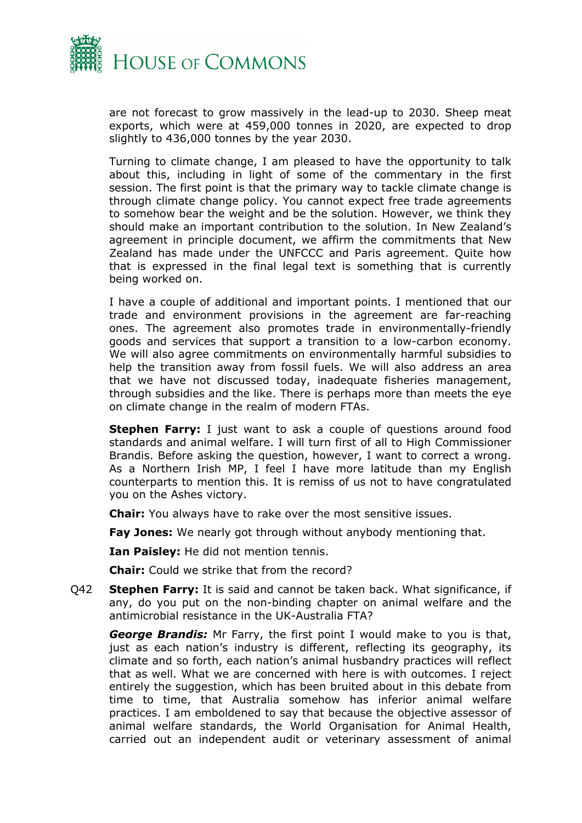

are not forecast to grow massively in the lead-up to 2030. Sheep meat exports, which were at 459,000 tonnes in 2020, are expected to drop slightly to 436,000 tonnes by the year 2030.

Turning to climate change, I am pleased to have the opportunity to talk about this, including in light of some of the commentary in the first session. The first point is that the primary way to tackle climate change is through climate change policy. You cannot expect free trade agreements to somehow bear the weight and be the solution. However, we think they should make an important contribution to the solution. In New Zealand's agreement in principle document, we affirm the commitments that New Zealand has made under the UNFCCC and Paris agreement. Quite how that is expressed in the final legal text is something that is currently being worked on.

I have a couple of additional and important points. I mentioned that our trade and environment provisions in the agreement are far-reaching ones. The agreement also promotes trade in environmentally-friendly goods and services that support a transition to a low-carbon economy. We will also agree commitments on environmentally harmful subsidies to help the transition away from fossil fuels. We will also address an area that we have not discussed today, inadequate fisheries management, through subsidies and the like. There is perhaps more than meets the eye on climate change in the realm of modern FTAs.

**Stephen Farry:** I just want to ask a couple of questions around food standards and animal welfare. I will turn first of all to High Commissioner Brandis. Before asking the question, however, I want to correct a wrong. As a Northern Irish MP, I feel I have more latitude than my English counterparts to mention this. It is remiss of us not to have congratulated you on the Ashes victory.

**Chair:** You always have to rake over the most sensitive issues.

**Fay Jones:** We nearly got through without anybody mentioning that.

**Ian Paisley:** He did not mention tennis.

**Chair:** Could we strike that from the record?

Q42 **Stephen Farry:** It is said and cannot be taken back. What significance, if any, do you put on the non-binding chapter on animal welfare and the antimicrobial resistance in the UK-Australia FTA?

*George Brandis:* Mr Farry, the first point I would make to you is that, just as each nation's industry is different, reflecting its geography, its climate and so forth, each nation's animal husbandry practices will reflect that as well. What we are concerned with here is with outcomes. I reject entirely the suggestion, which has been bruited about in this debate from time to time, that Australia somehow has inferior animal welfare practices. I am emboldened to say that because the objective assessor of animal welfare standards, the World Organisation for Animal Health, carried out an independent audit or veterinary assessment of animal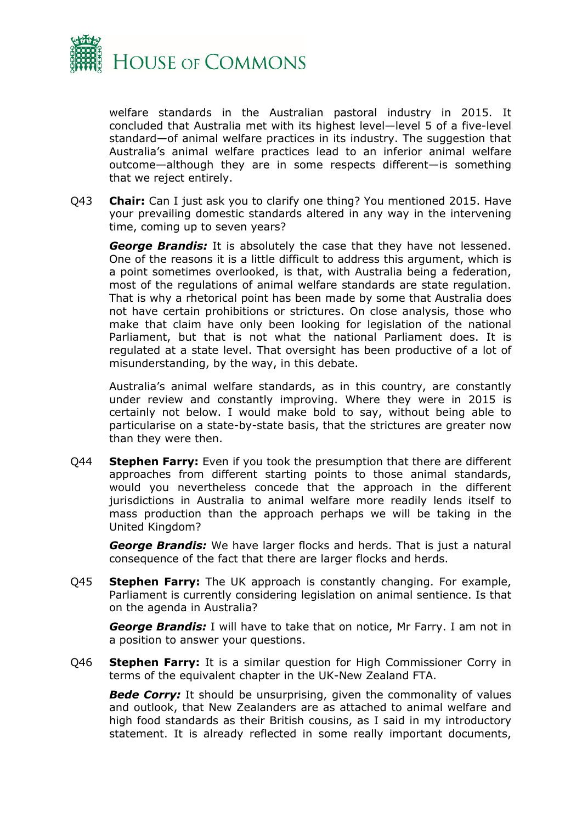

welfare standards in the Australian pastoral industry in 2015. It concluded that Australia met with its highest level—level 5 of a five-level standard—of animal welfare practices in its industry. The suggestion that Australia's animal welfare practices lead to an inferior animal welfare outcome—although they are in some respects different—is something that we reject entirely.

Q43 **Chair:** Can I just ask you to clarify one thing? You mentioned 2015. Have your prevailing domestic standards altered in any way in the intervening time, coming up to seven years?

*George Brandis:* It is absolutely the case that they have not lessened. One of the reasons it is a little difficult to address this argument, which is a point sometimes overlooked, is that, with Australia being a federation, most of the regulations of animal welfare standards are state regulation. That is why a rhetorical point has been made by some that Australia does not have certain prohibitions or strictures. On close analysis, those who make that claim have only been looking for legislation of the national Parliament, but that is not what the national Parliament does. It is regulated at a state level. That oversight has been productive of a lot of misunderstanding, by the way, in this debate.

Australia's animal welfare standards, as in this country, are constantly under review and constantly improving. Where they were in 2015 is certainly not below. I would make bold to say, without being able to particularise on a state-by-state basis, that the strictures are greater now than they were then.

Q44 **Stephen Farry:** Even if you took the presumption that there are different approaches from different starting points to those animal standards, would you nevertheless concede that the approach in the different jurisdictions in Australia to animal welfare more readily lends itself to mass production than the approach perhaps we will be taking in the United Kingdom?

*George Brandis:* We have larger flocks and herds. That is just a natural consequence of the fact that there are larger flocks and herds.

Q45 **Stephen Farry:** The UK approach is constantly changing. For example, Parliament is currently considering legislation on animal sentience. Is that on the agenda in Australia?

*George Brandis:* I will have to take that on notice, Mr Farry. I am not in a position to answer your questions.

Q46 **Stephen Farry:** It is a similar question for High Commissioner Corry in terms of the equivalent chapter in the UK-New Zealand FTA.

**Bede Corry:** It should be unsurprising, given the commonality of values and outlook, that New Zealanders are as attached to animal welfare and high food standards as their British cousins, as I said in my introductory statement. It is already reflected in some really important documents,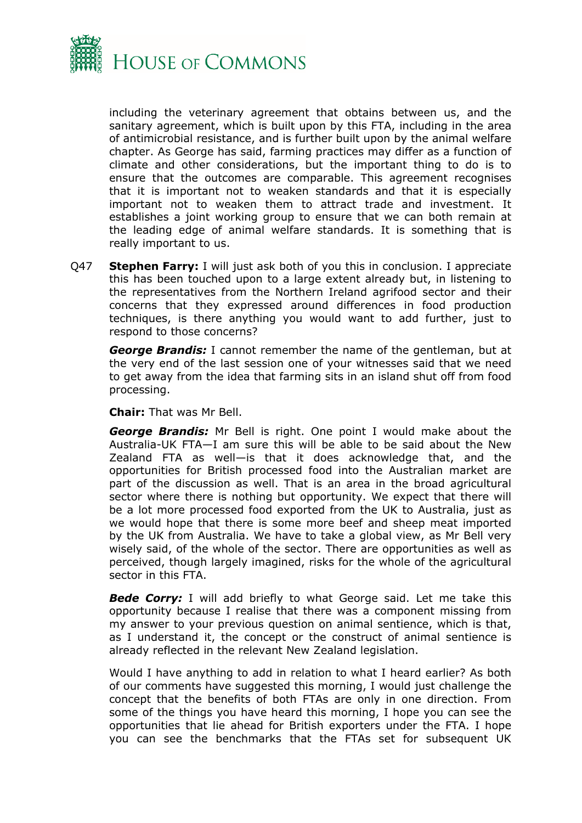

including the veterinary agreement that obtains between us, and the sanitary agreement, which is built upon by this FTA, including in the area of antimicrobial resistance, and is further built upon by the animal welfare chapter. As George has said, farming practices may differ as a function of climate and other considerations, but the important thing to do is to ensure that the outcomes are comparable. This agreement recognises that it is important not to weaken standards and that it is especially important not to weaken them to attract trade and investment. It establishes a joint working group to ensure that we can both remain at the leading edge of animal welfare standards. It is something that is really important to us.

Q47 **Stephen Farry:** I will just ask both of you this in conclusion. I appreciate this has been touched upon to a large extent already but, in listening to the representatives from the Northern Ireland agrifood sector and their concerns that they expressed around differences in food production techniques, is there anything you would want to add further, just to respond to those concerns?

*George Brandis:* I cannot remember the name of the gentleman, but at the very end of the last session one of your witnesses said that we need to get away from the idea that farming sits in an island shut off from food processing.

**Chair:** That was Mr Bell.

*George Brandis:* Mr Bell is right. One point I would make about the Australia-UK FTA—I am sure this will be able to be said about the New Zealand FTA as well—is that it does acknowledge that, and the opportunities for British processed food into the Australian market are part of the discussion as well. That is an area in the broad agricultural sector where there is nothing but opportunity. We expect that there will be a lot more processed food exported from the UK to Australia, just as we would hope that there is some more beef and sheep meat imported by the UK from Australia. We have to take a global view, as Mr Bell very wisely said, of the whole of the sector. There are opportunities as well as perceived, though largely imagined, risks for the whole of the agricultural sector in this FTA.

*Bede Corry:* I will add briefly to what George said. Let me take this opportunity because I realise that there was a component missing from my answer to your previous question on animal sentience, which is that, as I understand it, the concept or the construct of animal sentience is already reflected in the relevant New Zealand legislation.

Would I have anything to add in relation to what I heard earlier? As both of our comments have suggested this morning, I would just challenge the concept that the benefits of both FTAs are only in one direction. From some of the things you have heard this morning, I hope you can see the opportunities that lie ahead for British exporters under the FTA. I hope you can see the benchmarks that the FTAs set for subsequent UK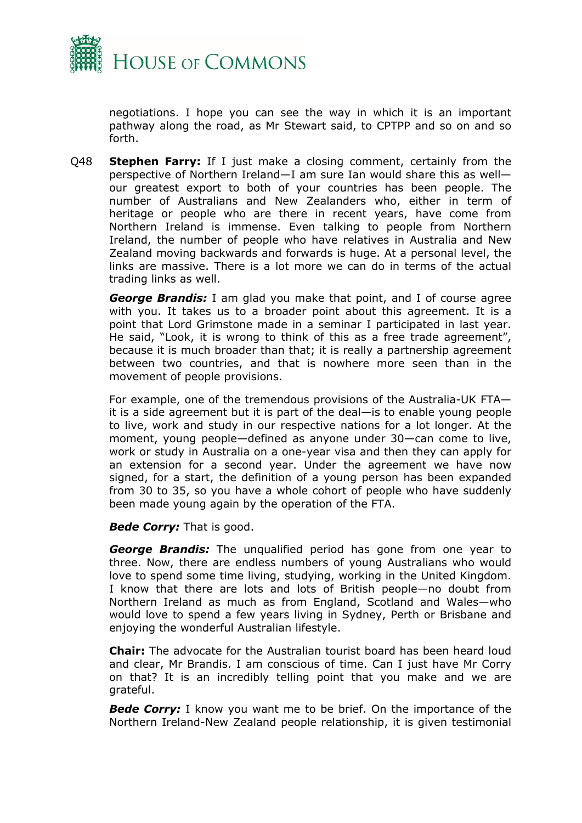

negotiations. I hope you can see the way in which it is an important pathway along the road, as Mr Stewart said, to CPTPP and so on and so forth.

Q48 **Stephen Farry:** If I just make a closing comment, certainly from the perspective of Northern Ireland—I am sure Ian would share this as well our greatest export to both of your countries has been people. The number of Australians and New Zealanders who, either in term of heritage or people who are there in recent years, have come from Northern Ireland is immense. Even talking to people from Northern Ireland, the number of people who have relatives in Australia and New Zealand moving backwards and forwards is huge. At a personal level, the links are massive. There is a lot more we can do in terms of the actual trading links as well.

*George Brandis:* I am glad you make that point, and I of course agree with you. It takes us to a broader point about this agreement. It is a point that Lord Grimstone made in a seminar I participated in last year. He said, "Look, it is wrong to think of this as a free trade agreement", because it is much broader than that; it is really a partnership agreement between two countries, and that is nowhere more seen than in the movement of people provisions.

For example, one of the tremendous provisions of the Australia-UK FTA it is a side agreement but it is part of the deal—is to enable young people to live, work and study in our respective nations for a lot longer. At the moment, young people—defined as anyone under 30—can come to live, work or study in Australia on a one-year visa and then they can apply for an extension for a second year. Under the agreement we have now signed, for a start, the definition of a young person has been expanded from 30 to 35, so you have a whole cohort of people who have suddenly been made young again by the operation of the FTA.

*Bede Corry:* That is good.

*George Brandis:* The unqualified period has gone from one year to three. Now, there are endless numbers of young Australians who would love to spend some time living, studying, working in the United Kingdom. I know that there are lots and lots of British people—no doubt from Northern Ireland as much as from England, Scotland and Wales—who would love to spend a few years living in Sydney, Perth or Brisbane and enjoying the wonderful Australian lifestyle.

**Chair:** The advocate for the Australian tourist board has been heard loud and clear, Mr Brandis. I am conscious of time. Can I just have Mr Corry on that? It is an incredibly telling point that you make and we are grateful.

**Bede Corry:** I know you want me to be brief. On the importance of the Northern Ireland-New Zealand people relationship, it is given testimonial